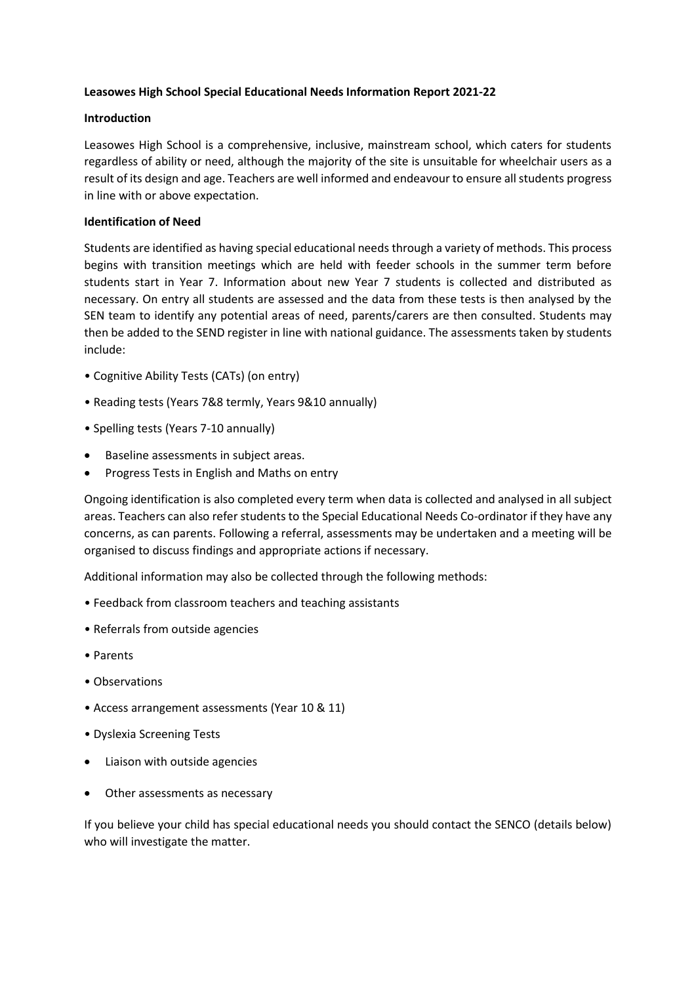# **Leasowes High School Special Educational Needs Information Report 2021-22**

## **Introduction**

Leasowes High School is a comprehensive, inclusive, mainstream school, which caters for students regardless of ability or need, although the majority of the site is unsuitable for wheelchair users as a result of its design and age. Teachers are well informed and endeavour to ensure all students progress in line with or above expectation.

## **Identification of Need**

Students are identified as having special educational needs through a variety of methods. This process begins with transition meetings which are held with feeder schools in the summer term before students start in Year 7. Information about new Year 7 students is collected and distributed as necessary. On entry all students are assessed and the data from these tests is then analysed by the SEN team to identify any potential areas of need, parents/carers are then consulted. Students may then be added to the SEND register in line with national guidance. The assessments taken by students include:

- Cognitive Ability Tests (CATs) (on entry)
- Reading tests (Years 7&8 termly, Years 9&10 annually)
- Spelling tests (Years 7-10 annually)
- Baseline assessments in subject areas.
- Progress Tests in English and Maths on entry

Ongoing identification is also completed every term when data is collected and analysed in all subject areas. Teachers can also refer students to the Special Educational Needs Co-ordinator if they have any concerns, as can parents. Following a referral, assessments may be undertaken and a meeting will be organised to discuss findings and appropriate actions if necessary.

Additional information may also be collected through the following methods:

- Feedback from classroom teachers and teaching assistants
- Referrals from outside agencies
- Parents
- Observations
- Access arrangement assessments (Year 10 & 11)
- Dyslexia Screening Tests
- Liaison with outside agencies
- Other assessments as necessary

If you believe your child has special educational needs you should contact the SENCO (details below) who will investigate the matter.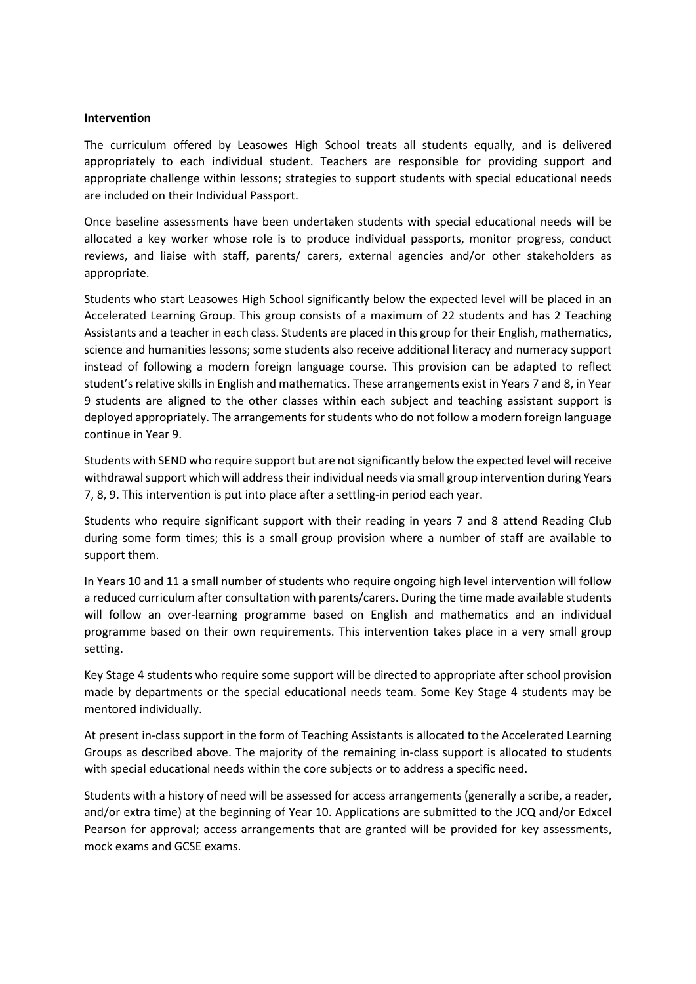#### **Intervention**

The curriculum offered by Leasowes High School treats all students equally, and is delivered appropriately to each individual student. Teachers are responsible for providing support and appropriate challenge within lessons; strategies to support students with special educational needs are included on their Individual Passport.

Once baseline assessments have been undertaken students with special educational needs will be allocated a key worker whose role is to produce individual passports, monitor progress, conduct reviews, and liaise with staff, parents/ carers, external agencies and/or other stakeholders as appropriate.

Students who start Leasowes High School significantly below the expected level will be placed in an Accelerated Learning Group. This group consists of a maximum of 22 students and has 2 Teaching Assistants and a teacher in each class. Students are placed in this group for their English, mathematics, science and humanities lessons; some students also receive additional literacy and numeracy support instead of following a modern foreign language course. This provision can be adapted to reflect student's relative skills in English and mathematics. These arrangements exist in Years 7 and 8, in Year 9 students are aligned to the other classes within each subject and teaching assistant support is deployed appropriately. The arrangements for students who do not follow a modern foreign language continue in Year 9.

Students with SEND who require support but are not significantly below the expected level will receive withdrawal support which will address their individual needs via small group intervention during Years 7, 8, 9. This intervention is put into place after a settling-in period each year.

Students who require significant support with their reading in years 7 and 8 attend Reading Club during some form times; this is a small group provision where a number of staff are available to support them.

In Years 10 and 11 a small number of students who require ongoing high level intervention will follow a reduced curriculum after consultation with parents/carers. During the time made available students will follow an over-learning programme based on English and mathematics and an individual programme based on their own requirements. This intervention takes place in a very small group setting.

Key Stage 4 students who require some support will be directed to appropriate after school provision made by departments or the special educational needs team. Some Key Stage 4 students may be mentored individually.

At present in-class support in the form of Teaching Assistants is allocated to the Accelerated Learning Groups as described above. The majority of the remaining in-class support is allocated to students with special educational needs within the core subjects or to address a specific need.

Students with a history of need will be assessed for access arrangements (generally a scribe, a reader, and/or extra time) at the beginning of Year 10. Applications are submitted to the JCQ and/or Edxcel Pearson for approval; access arrangements that are granted will be provided for key assessments, mock exams and GCSE exams.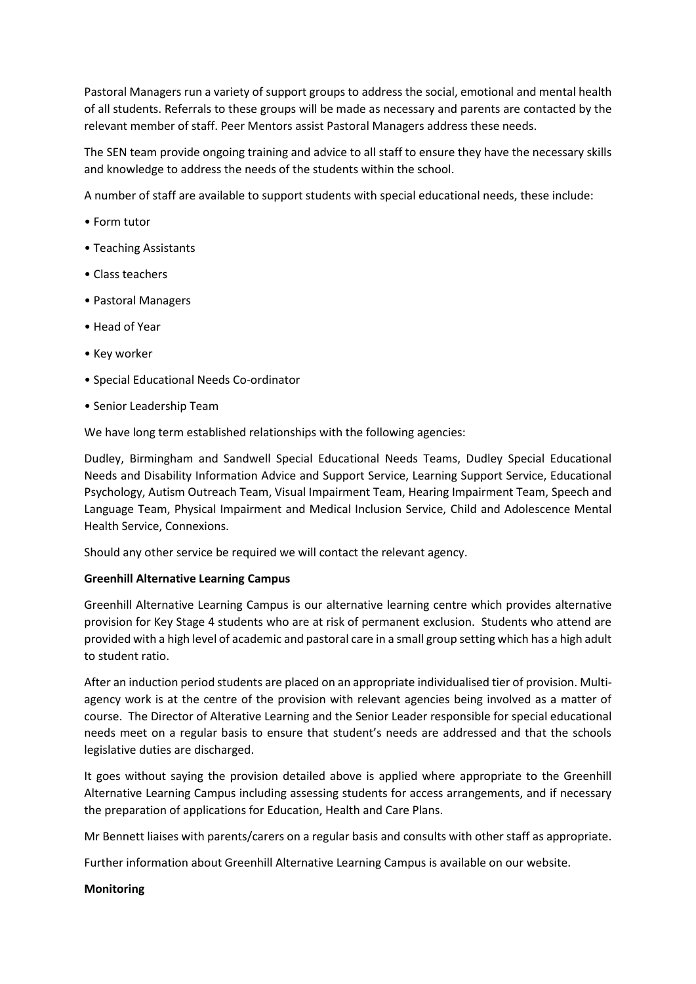Pastoral Managers run a variety of support groups to address the social, emotional and mental health of all students. Referrals to these groups will be made as necessary and parents are contacted by the relevant member of staff. Peer Mentors assist Pastoral Managers address these needs.

The SEN team provide ongoing training and advice to all staff to ensure they have the necessary skills and knowledge to address the needs of the students within the school.

A number of staff are available to support students with special educational needs, these include:

- Form tutor
- Teaching Assistants
- Class teachers
- Pastoral Managers
- Head of Year
- Key worker
- Special Educational Needs Co-ordinator
- Senior Leadership Team

We have long term established relationships with the following agencies:

Dudley, Birmingham and Sandwell Special Educational Needs Teams, Dudley Special Educational Needs and Disability Information Advice and Support Service, Learning Support Service, Educational Psychology, Autism Outreach Team, Visual Impairment Team, Hearing Impairment Team, Speech and Language Team, Physical Impairment and Medical Inclusion Service, Child and Adolescence Mental Health Service, Connexions.

Should any other service be required we will contact the relevant agency.

### **Greenhill Alternative Learning Campus**

Greenhill Alternative Learning Campus is our alternative learning centre which provides alternative provision for Key Stage 4 students who are at risk of permanent exclusion. Students who attend are provided with a high level of academic and pastoral care in a small group setting which has a high adult to student ratio.

After an induction period students are placed on an appropriate individualised tier of provision. Multiagency work is at the centre of the provision with relevant agencies being involved as a matter of course. The Director of Alterative Learning and the Senior Leader responsible for special educational needs meet on a regular basis to ensure that student's needs are addressed and that the schools legislative duties are discharged.

It goes without saying the provision detailed above is applied where appropriate to the Greenhill Alternative Learning Campus including assessing students for access arrangements, and if necessary the preparation of applications for Education, Health and Care Plans.

Mr Bennett liaises with parents/carers on a regular basis and consults with other staff as appropriate.

Further information about Greenhill Alternative Learning Campus is available on our website.

### **Monitoring**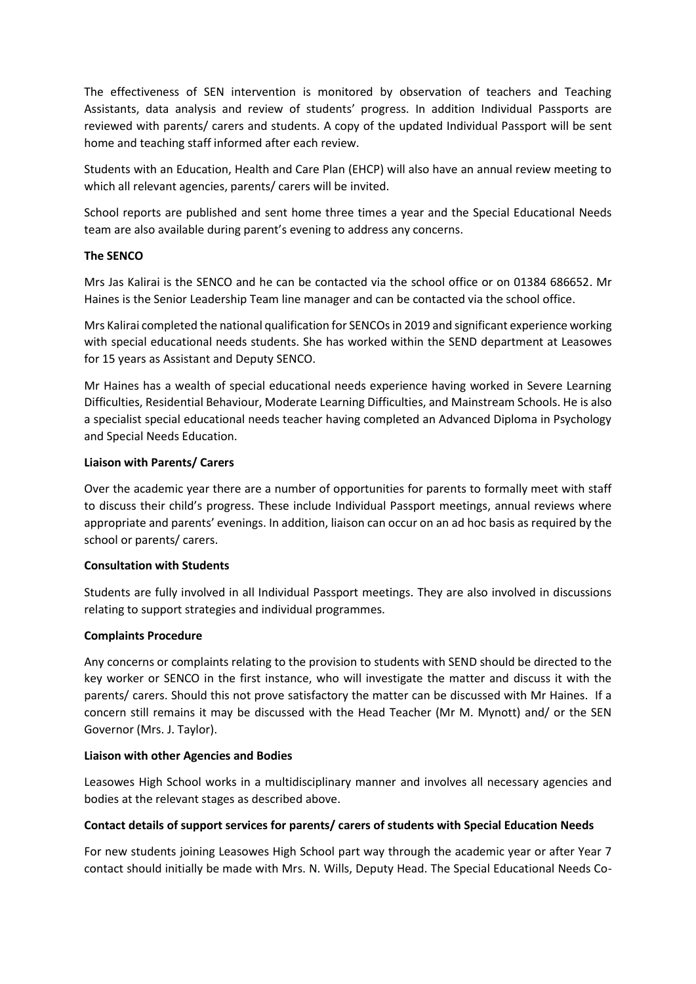The effectiveness of SEN intervention is monitored by observation of teachers and Teaching Assistants, data analysis and review of students' progress. In addition Individual Passports are reviewed with parents/ carers and students. A copy of the updated Individual Passport will be sent home and teaching staff informed after each review.

Students with an Education, Health and Care Plan (EHCP) will also have an annual review meeting to which all relevant agencies, parents/ carers will be invited.

School reports are published and sent home three times a year and the Special Educational Needs team are also available during parent's evening to address any concerns.

### **The SENCO**

Mrs Jas Kalirai is the SENCO and he can be contacted via the school office or on 01384 686652. Mr Haines is the Senior Leadership Team line manager and can be contacted via the school office.

Mrs Kalirai completed the national qualification for SENCOs in 2019 and significant experience working with special educational needs students. She has worked within the SEND department at Leasowes for 15 years as Assistant and Deputy SENCO.

Mr Haines has a wealth of special educational needs experience having worked in Severe Learning Difficulties, Residential Behaviour, Moderate Learning Difficulties, and Mainstream Schools. He is also a specialist special educational needs teacher having completed an Advanced Diploma in Psychology and Special Needs Education.

#### **Liaison with Parents/ Carers**

Over the academic year there are a number of opportunities for parents to formally meet with staff to discuss their child's progress. These include Individual Passport meetings, annual reviews where appropriate and parents' evenings. In addition, liaison can occur on an ad hoc basis as required by the school or parents/ carers.

### **Consultation with Students**

Students are fully involved in all Individual Passport meetings. They are also involved in discussions relating to support strategies and individual programmes.

### **Complaints Procedure**

Any concerns or complaints relating to the provision to students with SEND should be directed to the key worker or SENCO in the first instance, who will investigate the matter and discuss it with the parents/ carers. Should this not prove satisfactory the matter can be discussed with Mr Haines. If a concern still remains it may be discussed with the Head Teacher (Mr M. Mynott) and/ or the SEN Governor (Mrs. J. Taylor).

#### **Liaison with other Agencies and Bodies**

Leasowes High School works in a multidisciplinary manner and involves all necessary agencies and bodies at the relevant stages as described above.

### **Contact details of support services for parents/ carers of students with Special Education Needs**

For new students joining Leasowes High School part way through the academic year or after Year 7 contact should initially be made with Mrs. N. Wills, Deputy Head. The Special Educational Needs Co